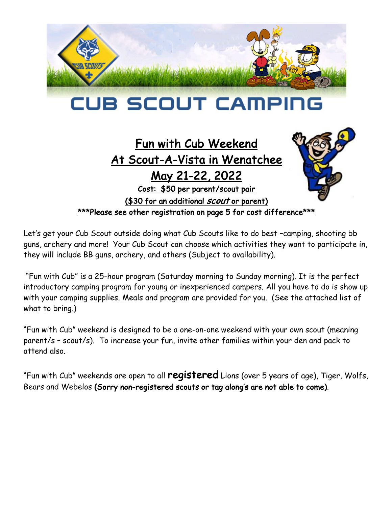

# **CUB SCOUT CAMP**

# Fun with Cub Weekend At Scout-A-Vista in Wenatchee

May 21-22, 2022

Cost: \$50 per parent/scout pair

(\$30 for an additional *scout* or parent) \*\*\*Please see other registration on page 5 for cost difference\*\*\*

Let's get your Cub Scout outside doing what Cub Scouts like to do best –camping, shooting bb guns, archery and more! Your Cub Scout can choose which activities they want to participate in, they will include BB guns, archery, and others (Subject to availability).

"Fun with Cub" is a 25-hour program (Saturday morning to Sunday morning). It is the perfect introductory camping program for young or inexperienced campers. All you have to do is show up with your camping supplies. Meals and program are provided for you. (See the attached list of what to bring.)

"Fun with Cub" weekend is designed to be a one-on-one weekend with your own scout (meaning parent/s – scout/s). To increase your fun, invite other families within your den and pack to attend also.

"Fun with Cub" weekends are open to all registered Lions (over 5 years of age), Tiger, Wolfs, Bears and Webelos (Sorry non-registered scouts or tag along's are not able to come).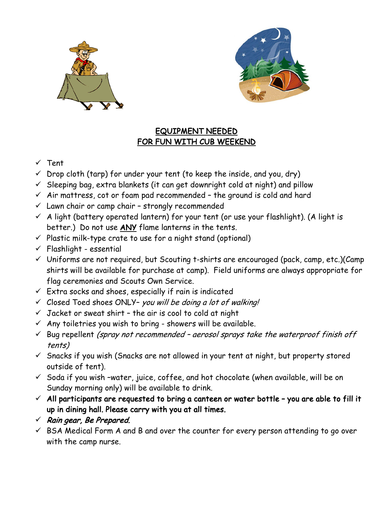



### EQUIPMENT NEEDED FOR FUN WITH CUB WEEKEND

- $\times$  Tent
- $\checkmark$  Drop cloth (tarp) for under your tent (to keep the inside, and you, dry)
- $\checkmark$  Sleeping bag, extra blankets (it can get downright cold at night) and pillow
- $\checkmark$  Air mattress, cot or foam pad recommended the ground is cold and hard
- $\checkmark$  Lawn chair or camp chair strongly recommended
- $\checkmark$  A light (battery operated lantern) for your tent (or use your flashlight). (A light is better.) Do not use ANY flame lanterns in the tents.
- $\checkmark$  Plastic milk-type crate to use for a night stand (optional)
- $\checkmark$  Flashlight essential
- $\checkmark$  Uniforms are not required, but Scouting t-shirts are encouraged (pack, camp, etc.)(Camp shirts will be available for purchase at camp). Field uniforms are always appropriate for flag ceremonies and Scouts Own Service.
- $\checkmark$  Extra socks and shoes, especially if rain is indicated
- $\checkmark$  Closed Toed shoes ONLY- you will be doing a lot of walking!
- $\checkmark$  Jacket or sweat shirt the air is cool to cold at night
- $\checkmark$  Any toiletries you wish to bring showers will be available.
- $\checkmark$  Bug repellent (spray not recommended aerosol sprays take the waterproof finish off tents)
- $\checkmark$  Snacks if you wish (Snacks are not allowed in your tent at night, but property stored outside of tent).
- $\checkmark$  Soda if you wish -water, juice, coffee, and hot chocolate (when available, will be on Sunday morning only) will be available to drink.
- $\checkmark$  All participants are requested to bring a canteen or water bottle you are able to fill it up in dining hall. Please carry with you at all times.
- $\checkmark$  Rain gear, Be Prepared.
- $\checkmark$  BSA Medical Form A and B and over the counter for every person attending to go over with the camp nurse.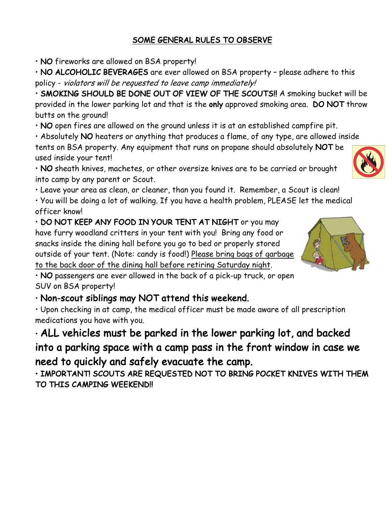### SOME GENERAL RULES TO OBSERVE

• NO fireworks are allowed on BSA property!

• NO ALCOHOLIC BEVERAGES are ever allowed on BSA property – please adhere to this policy - violators will be requested to leave camp immediately!

• SMOKING SHOULD BE DONE OUT OF VIEW OF THE SCOUTS!! A smoking bucket will be provided in the lower parking lot and that is the only approved smoking area. DO NOT throw butts on the ground!

• NO open fires are allowed on the ground unless it is at an established campfire pit.

• Absolutely NO heaters or anything that produces a flame, of any type, are allowed inside tents on BSA property. Any equipment that runs on propane should absolutely NOT be used inside your tent!

• NO sheath knives, machetes, or other oversize knives are to be carried or brought into camp by any parent or Scout.

• Leave your area as clean, or cleaner, than you found it. Remember, a Scout is clean!

• You will be doing a lot of walking. If you have a health problem, PLEASE let the medical officer know!

• DO NOT KEEP ANY FOOD IN YOUR TENT AT NIGHT or you may have furry woodland critters in your tent with you! Bring any food or snacks inside the dining hall before you go to bed or properly stored outside of your tent. (Note: candy is food!) Please bring bags of garbage to the back door of the dining hall before retiring Saturday night.



• NO passengers are ever allowed in the back of a pick-up truck, or open SUV on BSA property!

• Non-scout siblings may NOT attend this weekend.

• Upon checking in at camp, the medical officer must be made aware of all prescription medications you have with you.

• ALL vehicles must be parked in the lower parking lot, and backed into a parking space with a camp pass in the front window in case we need to quickly and safely evacuate the camp.

• IMPORTANT! SCOUTS ARE REQUESTED NOT TO BRING POCKET KNIVES WITH THEM TO THIS CAMPING WEEKEND!!

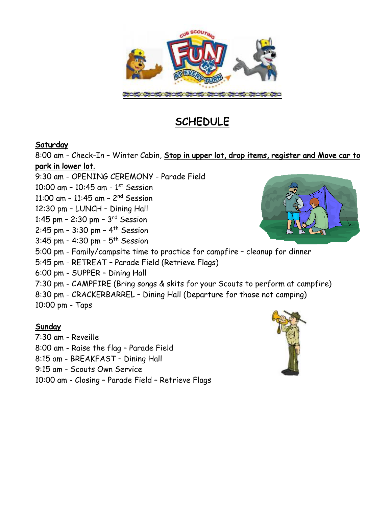

# **SCHEDULE**

#### **Saturday**

8:00 am - Check-In – Winter Cabin, Stop in upper lot, drop items, register and Move car to park in lower lot**.**

9:30 am - OPENING CEREMONY - Parade Field 10:00 am - 10:45 am -  $1<sup>st</sup>$  Session 11:00 am – 11:45 am – 2nd Session 12:30 pm – LUNCH – Dining Hall 1:45 pm – 2:30 pm – 3rd Session 2:45 pm - 3:30 pm -  $4^{th}$  Session 3:45 pm - 4:30 pm -  $5^{th}$  Session 5:00 pm - Family/campsite time to practice for campfire – cleanup for dinner 5:45 pm - RETREAT – Parade Field (Retrieve Flags) 6:00 pm - SUPPER – Dining Hall 7:30 pm - CAMPFIRE (Bring songs & skits for your Scouts to perform at campfire) 8:30 pm - CRACKERBARREL – Dining Hall (Departure for those not camping) 10:00 pm - Taps

#### Sunday

7:30 am - Reveille 8:00 am - Raise the flag – Parade Field 8:15 am - BREAKFAST – Dining Hall 9:15 am - Scouts Own Service 10:00 am - Closing – Parade Field – Retrieve Flags



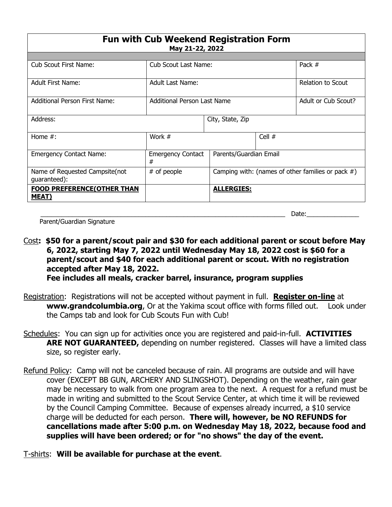| <b>Fun with Cub Weekend Registration Form</b><br>May 21-22, 2022 |                                    |                                                      |          |                     |  |  |  |  |
|------------------------------------------------------------------|------------------------------------|------------------------------------------------------|----------|---------------------|--|--|--|--|
|                                                                  |                                    |                                                      |          |                     |  |  |  |  |
| <b>Cub Scout First Name:</b>                                     | <b>Cub Scout Last Name:</b>        |                                                      |          | Pack #              |  |  |  |  |
| <b>Adult First Name:</b>                                         | Adult Last Name:                   |                                                      |          | Relation to Scout   |  |  |  |  |
| <b>Additional Person First Name:</b>                             | <b>Additional Person Last Name</b> |                                                      |          | Adult or Cub Scout? |  |  |  |  |
| Address:                                                         |                                    | City, State, Zip                                     |          |                     |  |  |  |  |
| Home $#$ :                                                       | Work #                             |                                                      | Cell $#$ |                     |  |  |  |  |
| <b>Emergency Contact Name:</b>                                   | <b>Emergency Contact</b><br>#      | Parents/Guardian Email                               |          |                     |  |  |  |  |
| Name of Requested Campsite(not<br>guaranteed):                   | # of people                        | Camping with: (names of other families or pack $#$ ) |          |                     |  |  |  |  |
| <b>FOOD PREFERENCE(OTHER THAN</b><br><u>MEAT)</u>                |                                    | <b>ALLERGIES:</b>                                    |          |                     |  |  |  |  |

Parent/Guardian Signature

Cost**: \$50 for a parent/scout pair and \$30 for each additional parent or scout before May 6, 2022, starting May 7, 2022 until Wednesday May 18, 2022 cost is \$60 for a parent/scout and \$40 for each additional parent or scout. With no registration accepted after May 18, 2022.** 

**Fee includes all meals, cracker barrel, insurance, program supplies**

\_\_\_\_\_\_\_\_\_\_\_\_\_\_\_\_\_\_\_\_\_\_\_\_\_\_\_\_\_\_\_\_\_\_\_\_\_\_\_\_\_\_\_\_\_\_\_\_\_\_\_\_\_\_\_\_\_\_\_\_\_\_\_\_\_\_\_\_\_\_ Date:\_\_\_\_\_\_\_\_\_\_\_\_\_\_\_

- Registration: Registrations will not be accepted without payment in full. **Register on-line** at **www.grandcolumbia.org**, Or at the Yakima scout office with forms filled out. Look under the Camps tab and look for Cub Scouts Fun with Cub!
- Schedules: You can sign up for activities once you are registered and paid-in-full. **ACTIVITIES ARE NOT GUARANTEED,** depending on number registered. Classes will have a limited class size, so register early.
- Refund Policy: Camp will not be canceled because of rain. All programs are outside and will have cover (EXCEPT BB GUN, ARCHERY AND SLINGSHOT). Depending on the weather, rain gear may be necessary to walk from one program area to the next. A request for a refund must be made in writing and submitted to the Scout Service Center, at which time it will be reviewed by the Council Camping Committee. Because of expenses already incurred, a \$10 service charge will be deducted for each person. **There will, however, be NO REFUNDS for cancellations made after 5:00 p.m. on Wednesday May 18, 2022, because food and supplies will have been ordered; or for "no shows" the day of the event.**
- T-shirts: **Will be available for purchase at the event**.